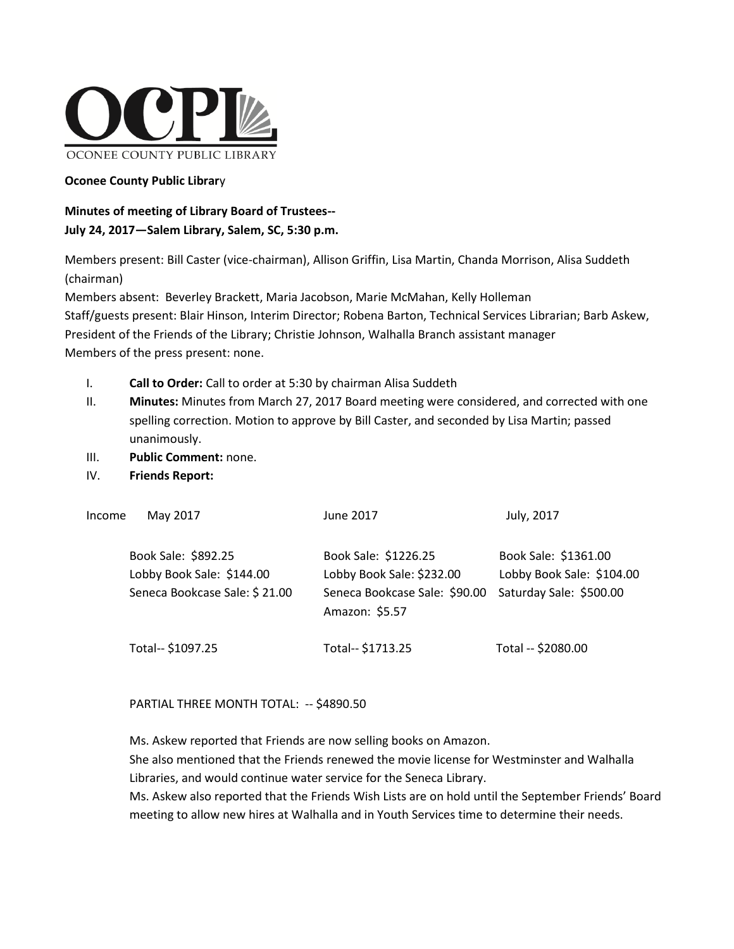

# **Oconee County Public Librar**y

# **Minutes of meeting of Library Board of Trustees-- July 24, 2017—Salem Library, Salem, SC, 5:30 p.m.**

Members present: Bill Caster (vice-chairman), Allison Griffin, Lisa Martin, Chanda Morrison, Alisa Suddeth (chairman)

Members absent: Beverley Brackett, Maria Jacobson, Marie McMahan, Kelly Holleman Staff/guests present: Blair Hinson, Interim Director; Robena Barton, Technical Services Librarian; Barb Askew, President of the Friends of the Library; Christie Johnson, Walhalla Branch assistant manager Members of the press present: none.

- I. **Call to Order:** Call to order at 5:30 by chairman Alisa Suddeth
- II. **Minutes:** Minutes from March 27, 2017 Board meeting were considered, and corrected with one spelling correction. Motion to approve by Bill Caster, and seconded by Lisa Martin; passed unanimously.
- III. **Public Comment:** none.
- IV. **Friends Report:**

| Income | May 2017                                                                          | June 2017                                                                                            | July, 2017                                                                   |
|--------|-----------------------------------------------------------------------------------|------------------------------------------------------------------------------------------------------|------------------------------------------------------------------------------|
|        | Book Sale: \$892.25<br>Lobby Book Sale: \$144.00<br>Seneca Bookcase Sale: \$21.00 | Book Sale: \$1226.25<br>Lobby Book Sale: \$232.00<br>Seneca Bookcase Sale: \$90.00<br>Amazon: \$5.57 | Book Sale: \$1361.00<br>Lobby Book Sale: \$104.00<br>Saturday Sale: \$500.00 |
|        | Total-- \$1097.25                                                                 | Total-- \$1713.25                                                                                    | Total -- \$2080.00                                                           |

PARTIAL THREE MONTH TOTAL: -- \$4890.50

Ms. Askew reported that Friends are now selling books on Amazon.

She also mentioned that the Friends renewed the movie license for Westminster and Walhalla Libraries, and would continue water service for the Seneca Library.

Ms. Askew also reported that the Friends Wish Lists are on hold until the September Friends' Board meeting to allow new hires at Walhalla and in Youth Services time to determine their needs.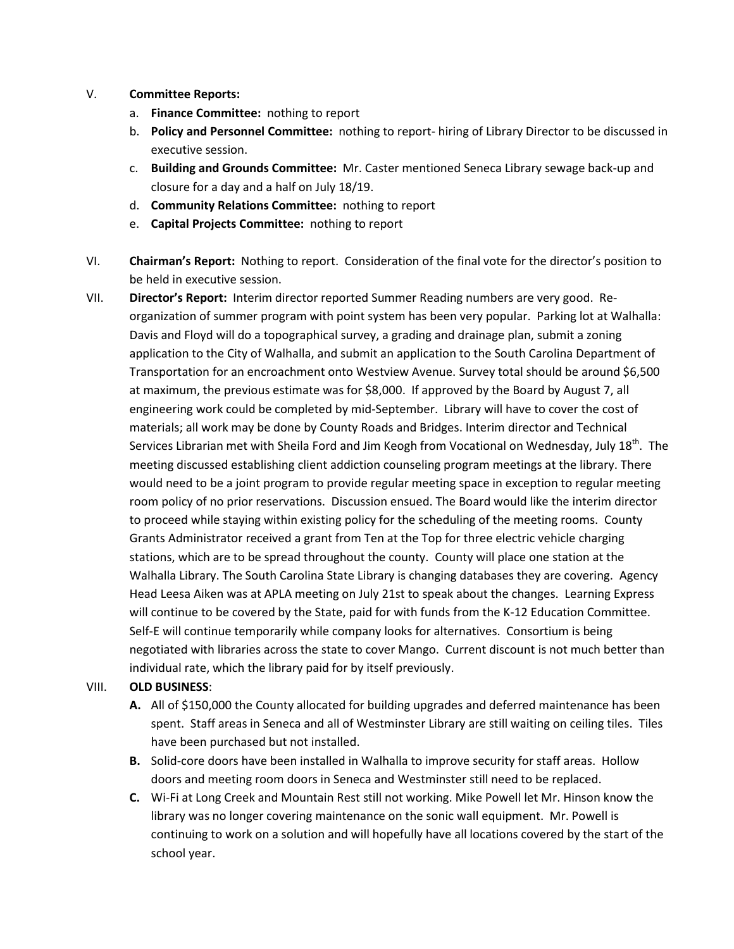- V. **Committee Reports:**
	- a. **Finance Committee:** nothing to report
	- b. **Policy and Personnel Committee:** nothing to report- hiring of Library Director to be discussed in executive session.
	- c. **Building and Grounds Committee:** Mr. Caster mentioned Seneca Library sewage back-up and closure for a day and a half on July 18/19.
	- d. **Community Relations Committee:** nothing to report
	- e. **Capital Projects Committee:** nothing to report
- VI. **Chairman's Report:** Nothing to report. Consideration of the final vote for the director's position to be held in executive session.
- VII. **Director's Report:** Interim director reported Summer Reading numbers are very good. Reorganization of summer program with point system has been very popular. Parking lot at Walhalla: Davis and Floyd will do a topographical survey, a grading and drainage plan, submit a zoning application to the City of Walhalla, and submit an application to the South Carolina Department of Transportation for an encroachment onto Westview Avenue. Survey total should be around \$6,500 at maximum, the previous estimate was for \$8,000. If approved by the Board by August 7, all engineering work could be completed by mid-September. Library will have to cover the cost of materials; all work may be done by County Roads and Bridges. Interim director and Technical Services Librarian met with Sheila Ford and Jim Keogh from Vocational on Wednesday, July  $18^{th}$ . The meeting discussed establishing client addiction counseling program meetings at the library. There would need to be a joint program to provide regular meeting space in exception to regular meeting room policy of no prior reservations. Discussion ensued. The Board would like the interim director to proceed while staying within existing policy for the scheduling of the meeting rooms. County Grants Administrator received a grant from Ten at the Top for three electric vehicle charging stations, which are to be spread throughout the county. County will place one station at the Walhalla Library. The South Carolina State Library is changing databases they are covering. Agency Head Leesa Aiken was at APLA meeting on July 21st to speak about the changes. Learning Express will continue to be covered by the State, paid for with funds from the K-12 Education Committee. Self-E will continue temporarily while company looks for alternatives. Consortium is being negotiated with libraries across the state to cover Mango. Current discount is not much better than individual rate, which the library paid for by itself previously.

## VIII. **OLD BUSINESS**:

- **A.** All of \$150,000 the County allocated for building upgrades and deferred maintenance has been spent. Staff areas in Seneca and all of Westminster Library are still waiting on ceiling tiles. Tiles have been purchased but not installed.
- **B.** Solid-core doors have been installed in Walhalla to improve security for staff areas. Hollow doors and meeting room doors in Seneca and Westminster still need to be replaced.
- **C.** Wi-Fi at Long Creek and Mountain Rest still not working. Mike Powell let Mr. Hinson know the library was no longer covering maintenance on the sonic wall equipment. Mr. Powell is continuing to work on a solution and will hopefully have all locations covered by the start of the school year.